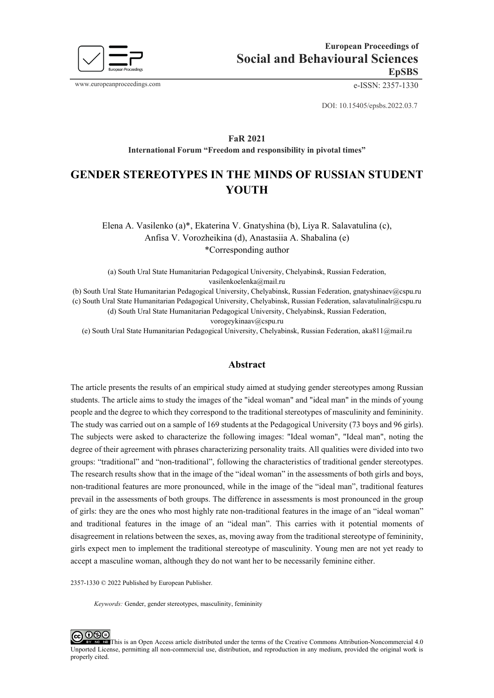

www.europeanproceedings.com e-ISSN: 2357-1330

DOI: 10.15405/epsbs.2022.03.7

#### **FaR 2021 International Forum "Freedom and responsibility in pivotal times"**

# **GENDER STEREOTYPES IN THE MINDS OF RUSSIAN STUDENT YOUTH**

Elena A. Vasilenko (a)\*, Ekaterina V. Gnatyshina (b), Liya R. Salavatulina (c), Anfisa V. Vorozheikina (d), Anastasiia A. Shabalina (e) \*Corresponding author

(a) South Ural State Humanitarian Pedagogical University, Chelyabinsk, Russian Federation, vasilenkoelenka@mail.ru

(b) South Ural State Humanitarian Pedagogical University, Chelyabinsk, Russian Federation, gnatyshinaev@cspu.ru (c) South Ural State Humanitarian Pedagogical University, Chelyabinsk, Russian Federation, [salavatulinalr@cspu.ru](mailto:salavatulinalr@cspu.ru)

(d) South Ural State Humanitarian Pedagogical University, Chelyabinsk, Russian Federation,

vorogeykinaav@cspu.ru

(e) South Ural State Humanitarian Pedagogical University, Chelyabinsk, Russian Federation, aka811@mail.ru

#### **Abstract**

The article presents the results of an empirical study aimed at studying gender stereotypes among Russian students. The article aims to study the images of the "ideal woman" and "ideal man" in the minds of young people and the degree to which they correspond to the traditional stereotypes of masculinity and femininity. The study was carried out on a sample of 169 students at the Pedagogical University (73 boys and 96 girls). The subjects were asked to characterize the following images: "Ideal woman", "Ideal man", noting the degree of their agreement with phrases characterizing personality traits. All qualities were divided into two groups: "traditional" and "non-traditional", following the characteristics of traditional gender stereotypes. The research results show that in the image of the "ideal woman" in the assessments of both girls and boys, non-traditional features are more pronounced, while in the image of the "ideal man", traditional features prevail in the assessments of both groups. The difference in assessments is most pronounced in the group of girls: they are the ones who most highly rate non-traditional features in the image of an "ideal woman" and traditional features in the image of an "ideal man". This carries with it potential moments of disagreement in relations between the sexes, as, moving away from the traditional stereotype of femininity, girls expect men to implement the traditional stereotype of masculinity. Young men are not yet ready to accept a masculine woman, although they do not want her to be necessarily feminine either.

2357-1330 © 2022 Published by European Publisher.

*Keywords:* Gender, gender stereotypes, masculinity, femininity

೧⊛∈ This is an Open Access article distributed under the terms of the Creative Commons Attribution-Noncommercial 4.0 Unported License, permitting all non-commercial use, distribution, and reproduction in any medium, provided the original work is properly cited.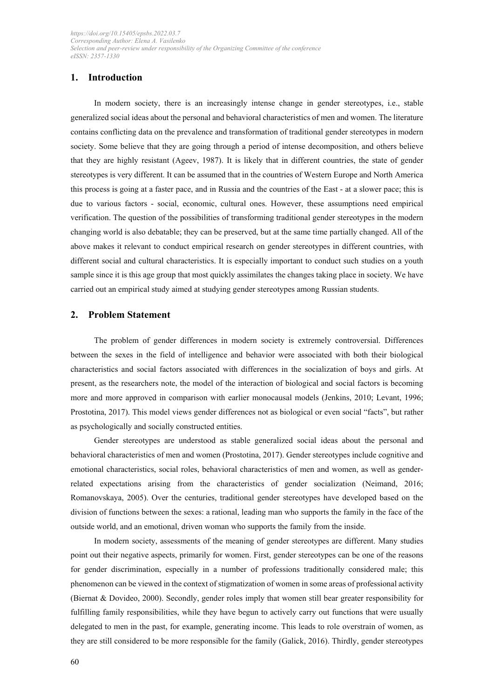## **1. Introduction**

In modern society, there is an increasingly intense change in gender stereotypes, i.e., stable generalized social ideas about the personal and behavioral characteristics of men and women. The literature contains conflicting data on the prevalence and transformation of traditional gender stereotypes in modern society. Some believe that they are going through a period of intense decomposition, and others believe that they are highly resistant (Ageev, 1987). It is likely that in different countries, the state of gender stereotypes is very different. It can be assumed that in the countries of Western Europe and North America this process is going at a faster pace, and in Russia and the countries of the East - at a slower pace; this is due to various factors - social, economic, cultural ones. However, these assumptions need empirical verification. The question of the possibilities of transforming traditional gender stereotypes in the modern changing world is also debatable; they can be preserved, but at the same time partially changed. All of the above makes it relevant to conduct empirical research on gender stereotypes in different countries, with different social and cultural characteristics. It is especially important to conduct such studies on a youth sample since it is this age group that most quickly assimilates the changes taking place in society. We have carried out an empirical study aimed at studying gender stereotypes among Russian students.

#### **2. Problem Statement**

The problem of gender differences in modern society is extremely controversial. Differences between the sexes in the field of intelligence and behavior were associated with both their biological characteristics and social factors associated with differences in the socialization of boys and girls. At present, as the researchers note, the model of the interaction of biological and social factors is becoming more and more approved in comparison with earlier monocausal models (Jenkins, 2010; Levant, 1996; Prostotina, 2017). This model views gender differences not as biological or even social "facts", but rather as psychologically and socially constructed entities.

Gender stereotypes are understood as stable generalized social ideas about the personal and behavioral characteristics of men and women (Prostotina, 2017). Gender stereotypes include cognitive and emotional characteristics, social roles, behavioral characteristics of men and women, as well as genderrelated expectations arising from the characteristics of gender socialization (Neimand, 2016; Romanovskaya, 2005). Over the centuries, traditional gender stereotypes have developed based on the division of functions between the sexes: a rational, leading man who supports the family in the face of the outside world, and an emotional, driven woman who supports the family from the inside.

In modern society, assessments of the meaning of gender stereotypes are different. Many studies point out their negative aspects, primarily for women. First, gender stereotypes can be one of the reasons for gender discrimination, especially in a number of professions traditionally considered male; this phenomenon can be viewed in the context of stigmatization of women in some areas of professional activity (Biernat & Dovideo, 2000). Secondly, gender roles imply that women still bear greater responsibility for fulfilling family responsibilities, while they have begun to actively carry out functions that were usually delegated to men in the past, for example, generating income. This leads to role overstrain of women, as they are still considered to be more responsible for the family (Galick, 2016). Thirdly, gender stereotypes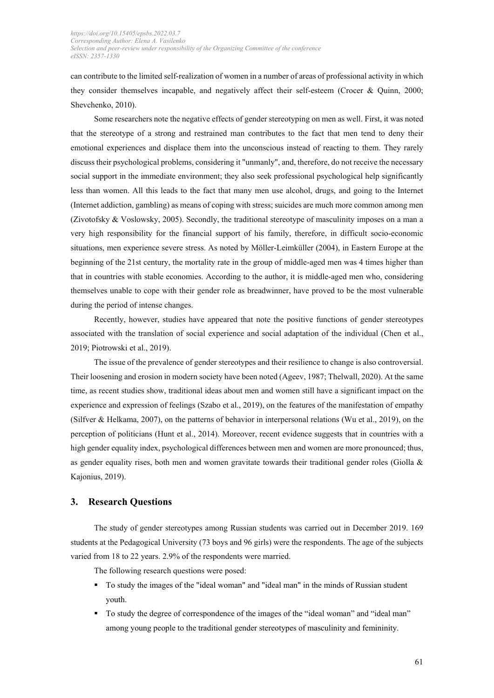can contribute to the limited self-realization of women in a number of areas of professional activity in which they consider themselves incapable, and negatively affect their self-esteem (Crocer & Quinn, 2000; Shevchenko, 2010).

Some researchers note the negative effects of gender stereotyping on men as well. First, it was noted that the stereotype of a strong and restrained man contributes to the fact that men tend to deny their emotional experiences and displace them into the unconscious instead of reacting to them. They rarely discuss their psychological problems, considering it "unmanly", and, therefore, do not receive the necessary social support in the immediate environment; they also seek professional psychological help significantly less than women. All this leads to the fact that many men use alcohol, drugs, and going to the Internet (Internet addiction, gambling) as means of coping with stress; suicides are much more common among men (Zivotofsky & Voslowsky, 2005). Secondly, the traditional stereotype of masculinity imposes on a man a very high responsibility for the financial support of his family, therefore, in difficult socio-economic situations, men experience severe stress. As noted by Möller-Leimküller (2004), in Eastern Europe at the beginning of the 21st century, the mortality rate in the group of middle-aged men was 4 times higher than that in countries with stable economies. According to the author, it is middle-aged men who, considering themselves unable to cope with their gender role as breadwinner, have proved to be the most vulnerable during the period of intense changes.

Recently, however, studies have appeared that note the positive functions of gender stereotypes associated with the translation of social experience and social adaptation of the individual (Chen et al., 2019; Piotrowski et al., 2019).

The issue of the prevalence of gender stereotypes and their resilience to change is also controversial. Their loosening and erosion in modern society have been noted (Ageev, 1987; Thelwall, 2020). At the same time, as recent studies show, traditional ideas about men and women still have a significant impact on the experience and expression of feelings (Szabo et al., 2019), on the features of the manifestation of empathy (Silfver & Helkama, 2007), on the patterns of behavior in interpersonal relations (Wu et al., 2019), on the perception of politicians (Hunt et al., 2014). Moreover, recent evidence suggests that in countries with a high gender equality index, psychological differences between men and women are more pronounced; thus, as gender equality rises, both men and women gravitate towards their traditional gender roles (Giolla & Kajonius, 2019).

#### **3. Research Questions**

The study of gender stereotypes among Russian students was carried out in December 2019. 169 students at the Pedagogical University (73 boys and 96 girls) were the respondents. The age of the subjects varied from 18 to 22 years. 2.9% of the respondents were married.

The following research questions were posed:

- To study the images of the "ideal woman" and "ideal man" in the minds of Russian student youth.
- To study the degree of correspondence of the images of the "ideal woman" and "ideal man" among young people to the traditional gender stereotypes of masculinity and femininity.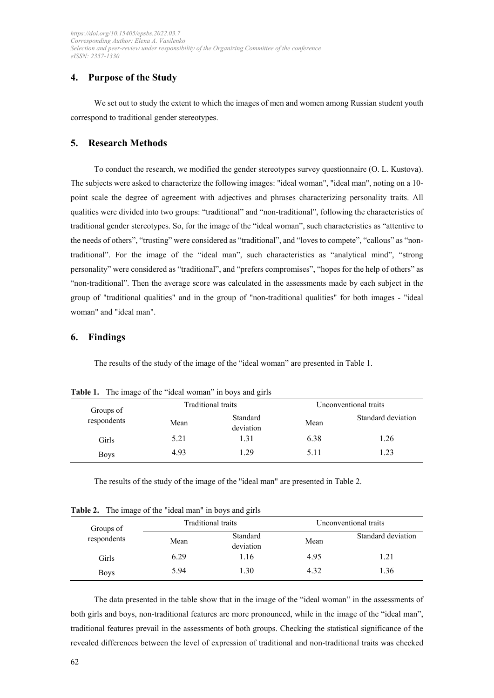## **4. Purpose of the Study**

We set out to study the extent to which the images of men and women among Russian student youth correspond to traditional gender stereotypes.

## **5. Research Methods**

To conduct the research, we modified the gender stereotypes survey questionnaire (O. L. Kustova). The subjects were asked to characterize the following images: "ideal woman", "ideal man", noting on a 10 point scale the degree of agreement with adjectives and phrases characterizing personality traits. All qualities were divided into two groups: "traditional" and "non-traditional", following the characteristics of traditional gender stereotypes. So, for the image of the "ideal woman", such characteristics as "attentive to the needs of others", "trusting" were considered as "traditional", and "loves to compete", "callous" as "nontraditional". For the image of the "ideal man", such characteristics as "analytical mind", "strong personality" were considered as "traditional", and "prefers compromises", "hopes for the help of others" as "non-traditional". Then the average score was calculated in the assessments made by each subject in the group of "traditional qualities" and in the group of "non-traditional qualities" for both images - "ideal woman" and "ideal man".

## **6. Findings**

The results of the study of the image of the "ideal woman" are presented in Table 1.

| Groups of<br>respondents | Traditional traits |           | Unconventional traits |                    |
|--------------------------|--------------------|-----------|-----------------------|--------------------|
|                          | Mean               | Standard  | Mean                  | Standard deviation |
|                          |                    | deviation |                       |                    |
| <b>Girls</b>             | 5.21               | 1.31      | 6.38                  | 1.26               |
| <b>Boys</b>              | 4.93               | 1.29      | 5.11                  | 1.23               |

**Table 1.** The image of the "ideal woman" in boys and girls

The results of the study of the image of the "ideal man" are presented in Table 2.

| Groups of<br>respondents | Traditional traits |                       | Unconventional traits |                    |
|--------------------------|--------------------|-----------------------|-----------------------|--------------------|
|                          | Mean               | Standard<br>deviation | Mean                  | Standard deviation |
| Girls                    | 6.29               | 1.16                  | 4.95                  | 1.21               |
| <b>Boys</b>              | 5.94               | 1.30                  | 4.32                  | 1.36               |

**Table 2.** The image of the "ideal man" in boys and girls

The data presented in the table show that in the image of the "ideal woman" in the assessments of both girls and boys, non-traditional features are more pronounced, while in the image of the "ideal man", traditional features prevail in the assessments of both groups. Checking the statistical significance of the revealed differences between the level of expression of traditional and non-traditional traits was checked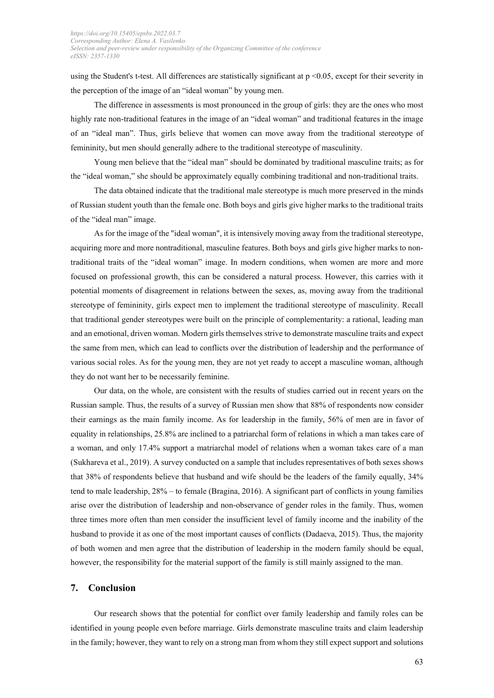using the Student's t-test. All differences are statistically significant at p <0.05, except for their severity in the perception of the image of an "ideal woman" by young men.

The difference in assessments is most pronounced in the group of girls: they are the ones who most highly rate non-traditional features in the image of an "ideal woman" and traditional features in the image of an "ideal man". Thus, girls believe that women can move away from the traditional stereotype of femininity, but men should generally adhere to the traditional stereotype of masculinity.

Young men believe that the "ideal man" should be dominated by traditional masculine traits; as for the "ideal woman," she should be approximately equally combining traditional and non-traditional traits.

The data obtained indicate that the traditional male stereotype is much more preserved in the minds of Russian student youth than the female one. Both boys and girls give higher marks to the traditional traits of the "ideal man" image.

As for the image of the "ideal woman", it is intensively moving away from the traditional stereotype, acquiring more and more nontraditional, masculine features. Both boys and girls give higher marks to nontraditional traits of the "ideal woman" image. In modern conditions, when women are more and more focused on professional growth, this can be considered a natural process. However, this carries with it potential moments of disagreement in relations between the sexes, as, moving away from the traditional stereotype of femininity, girls expect men to implement the traditional stereotype of masculinity. Recall that traditional gender stereotypes were built on the principle of complementarity: a rational, leading man and an emotional, driven woman. Modern girls themselves strive to demonstrate masculine traits and expect the same from men, which can lead to conflicts over the distribution of leadership and the performance of various social roles. As for the young men, they are not yet ready to accept a masculine woman, although they do not want her to be necessarily feminine.

Our data, on the whole, are consistent with the results of studies carried out in recent years on the Russian sample. Thus, the results of a survey of Russian men show that 88% of respondents now consider their earnings as the main family income. As for leadership in the family, 56% of men are in favor of equality in relationships, 25.8% are inclined to a patriarchal form of relations in which a man takes care of a woman, and only 17.4% support a matriarchal model of relations when a woman takes care of a man (Sukhareva et al., 2019). A survey conducted on a sample that includes representatives of both sexes shows that 38% of respondents believe that husband and wife should be the leaders of the family equally, 34% tend to male leadership, 28% – to female (Bragina, 2016). A significant part of conflicts in young families arise over the distribution of leadership and non-observance of gender roles in the family. Thus, women three times more often than men consider the insufficient level of family income and the inability of the husband to provide it as one of the most important causes of conflicts (Dadaeva, 2015). Thus, the majority of both women and men agree that the distribution of leadership in the modern family should be equal, however, the responsibility for the material support of the family is still mainly assigned to the man.

#### **7. Conclusion**

Our research shows that the potential for conflict over family leadership and family roles can be identified in young people even before marriage. Girls demonstrate masculine traits and claim leadership in the family; however, they want to rely on a strong man from whom they still expect support and solutions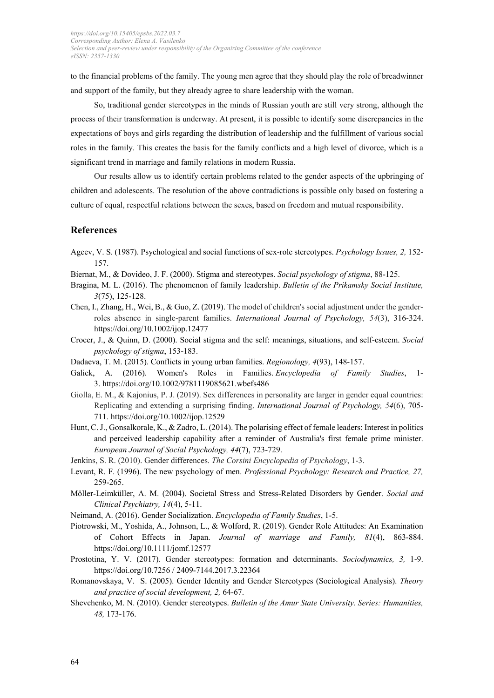to the financial problems of the family. The young men agree that they should play the role of breadwinner and support of the family, but they already agree to share leadership with the woman.

So, traditional gender stereotypes in the minds of Russian youth are still very strong, although the process of their transformation is underway. At present, it is possible to identify some discrepancies in the expectations of boys and girls regarding the distribution of leadership and the fulfillment of various social roles in the family. This creates the basis for the family conflicts and a high level of divorce, which is a significant trend in marriage and family relations in modern Russia.

Our results allow us to identify certain problems related to the gender aspects of the upbringing of children and adolescents. The resolution of the above contradictions is possible only based on fostering a culture of equal, respectful relations between the sexes, based on freedom and mutual responsibility.

## **References**

- Ageev, V. S. (1987). Psychological and social functions of sex-role stereotypes. *Psychology Issues, 2,* 152- 157.
- Biernat, M., & Dovideo, J. F. (2000). Stigma and stereotypes. *Social psychology of stigma*, 88-125.
- Bragina, M. L. (2016). The phenomenon of family leadership. *Bulletin of the Prikamsky Social Institute, 3*(75), 125-128.
- Chen, I., Zhang, H., Wei, B., & Guo, Z. (2019). The model of children's social adjustment under the gender‐ roles absence in single‐parent families. *International Journal of Psychology, 54*(3), 316-324. https://doi.org/10.1002/ijop.12477
- Crocer, J., & Quinn, D. (2000). Social stigma and the self: meanings, situations, and self-esteem. *Social psychology of stigma*, 153-183.
- Dadaeva, T. M. (2015). Conflicts in young urban families. *Regionology, 4*(93), 148-157.
- Galick, A. (2016). Women's Roles in Families. *Encyclopedia of Family Studies*, 1- 3. https://doi.org[/10.1002/9781119085621.wbefs486](https://www.researchgate.net/deref/http%3A%2F%2Fdx.doi.org%2F10.1002%2F9781119085621.wbefs486?_sg%5B0%5D=UT4iJNdGvJrKvGvxY5ZVlna7AJQVM7ohjx8PvYHdaX35J381LCzc2KKMGwQxpCqbRFPZyLZYTTgXju9p6AZYDVV8bg.OEFzD0OVKQ4SxcS0mCDyyCE4R27cDINtwi0qnm2rfK21rsHZigQgfkPEG_D3JVLZHareJoA2Op1Wo1T3qzVSFA)
- Giolla, E. M., & Kajonius, P. J. (2019). Sex differences in personality are larger in gender equal countries: Replicating and extending a surprising finding. *International Journal of Psychology, 54*(6), 705- 711. https://doi.org/10.1002/ijop.12529
- Hunt, C. J., Gonsalkorale, K., & Zadro, L. (2014). The polarising effect of female leaders: Interest in politics and perceived leadership capability after a reminder of Australia's first female prime minister. *European Journal of Social Psychology, 44*(7), 723-729.
- Jenkins, S. R. (2010). Gender differences. *The Corsini Encyclopedia of Psychology*, 1-3.
- Levant, R. F. (1996). The new psychology of men. *Professional Psychology: Research and Practice, 27,* 259-265.
- Möller-Leimküller, A. M. (2004). Societal Stress and Stress-Related Disorders by Gender. *Social and Clinical Psychiatry, 14*(4), 5-11.
- Neimand, A. (2016). Gender Socialization. *Encyclopedia of Family Studies*, 1-5.
- Piotrowski, M., Yoshida, A., Johnson, L., & Wolford, R. (2019). Gender Role Attitudes: An Examination of Cohort Effects in Japan. *Journal of marriage and Family, 81*(4), 863-884. https://doi.org/10.1111/jomf.12577
- Prostotina, Y. V. (2017). Gender stereotypes: formation and determinants. *Sociodynamics, 3,* 1-9. https://doi.org/10.7256 / 2409-7144.2017.3.22364
- Romanovskaya, V. S. (2005). Gender Identity and Gender Stereotypes (Sociological Analysis). *Theory and practice of social development, 2,* 64-67.
- Shevchenko, M. N. (2010). Gender stereotypes. *Bulletin of the Amur State University. Series: Humanities, 48,* 173-176.